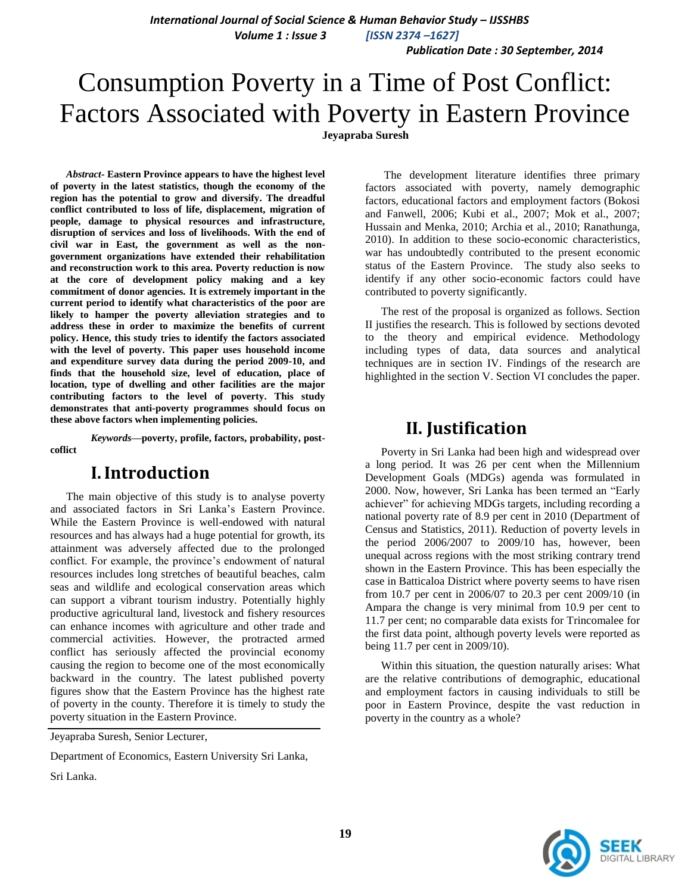*International Journal of Social Science & Human Behavior Study – IJSSHBS Volume 1 : Issue 3 [ISSN 2374 –1627]*

 *Publication Date : 30 September, 2014*

# Consumption Poverty in a Time of Post Conflict: Factors Associated with Poverty in Eastern Province **Jeyapraba Suresh**

*Abstract***- Eastern Province appears to have the highest level of poverty in the latest statistics, though the economy of the region has the potential to grow and diversify. The dreadful conflict contributed to loss of life, displacement, migration of people, damage to physical resources and infrastructure, disruption of services and loss of livelihoods. With the end of civil war in East, the government as well as the nongovernment organizations have extended their rehabilitation and reconstruction work to this area. Poverty reduction is now at the core of development policy making and a key commitment of donor agencies. It is extremely important in the current period to identify what characteristics of the poor are likely to hamper the poverty alleviation strategies and to address these in order to maximize the benefits of current policy. Hence, this study tries to identify the factors associated with the level of poverty. This paper uses household income and expenditure survey data during the period 2009-10, and finds that the household size, level of education, place of location, type of dwelling and other facilities are the major contributing factors to the level of poverty. This study demonstrates that anti-poverty programmes should focus on these above factors when implementing policies.**

*Keywords***—poverty, profile, factors, probability, postcoflict**

### **I.Introduction**

The main objective of this study is to analyse poverty and associated factors in Sri Lanka"s Eastern Province. While the Eastern Province is well-endowed with natural resources and has always had a huge potential for growth, its attainment was adversely affected due to the prolonged conflict. For example, the province's endowment of natural resources includes long stretches of beautiful beaches, calm seas and wildlife and ecological conservation areas which can support a vibrant tourism industry. Potentially highly productive agricultural land, livestock and fishery resources can enhance incomes with agriculture and other trade and commercial activities. However, the protracted armed conflict has seriously affected the provincial economy causing the region to become one of the most economically backward in the country. The latest published poverty figures show that the Eastern Province has the highest rate of poverty in the county. Therefore it is timely to study the poverty situation in the Eastern Province.

Jeyapraba Suresh, Senior Lecturer,

Department of Economics, Eastern University Sri Lanka,

Sri Lanka.

The development literature identifies three primary factors associated with poverty, namely demographic factors, educational factors and employment factors (Bokosi and Fanwell, 2006; Kubi et al., 2007; Mok et al., 2007; Hussain and Menka, 2010; Archia et al., 2010; Ranathunga, 2010). In addition to these socio-economic characteristics, war has undoubtedly contributed to the present economic status of the Eastern Province. The study also seeks to identify if any other socio-economic factors could have contributed to poverty significantly.

The rest of the proposal is organized as follows. Section II justifies the research. This is followed by sections devoted to the theory and empirical evidence. Methodology including types of data, data sources and analytical techniques are in section IV. Findings of the research are highlighted in the section V. Section VI concludes the paper.

### **II. Justification**

Poverty in Sri Lanka had been high and widespread over a long period. It was 26 per cent when the Millennium Development Goals (MDGs) agenda was formulated in 2000. Now, however, Sri Lanka has been termed an "Early achiever" for achieving MDGs targets, including recording a national poverty rate of 8.9 per cent in 2010 (Department of Census and Statistics, 2011). Reduction of poverty levels in the period 2006/2007 to 2009/10 has, however, been unequal across regions with the most striking contrary trend shown in the Eastern Province. This has been especially the case in Batticaloa District where poverty seems to have risen from 10.7 per cent in 2006/07 to 20.3 per cent 2009/10 (in Ampara the change is very minimal from 10.9 per cent to 11.7 per cent; no comparable data exists for Trincomalee for the first data point, although poverty levels were reported as being 11.7 per cent in 2009/10).

Within this situation, the question naturally arises: What are the relative contributions of demographic, educational and employment factors in causing individuals to still be poor in Eastern Province, despite the vast reduction in poverty in the country as a whole?

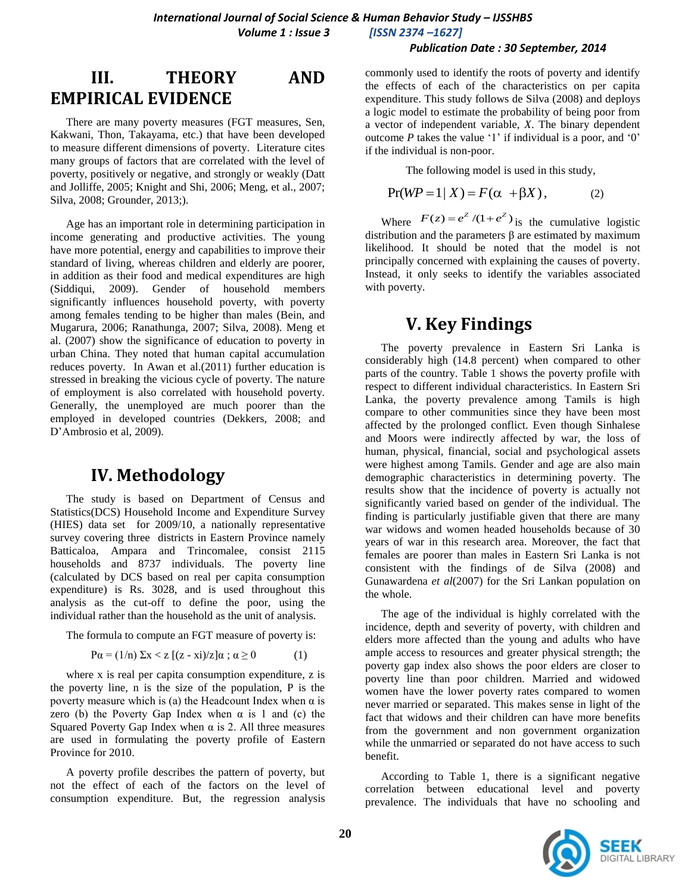#### *Publication Date : 30 September, 2014*

# **III. THEORY AND EMPIRICAL EVIDENCE**

There are many poverty measures (FGT measures, Sen, Kakwani, Thon, Takayama, etc.) that have been developed to measure different dimensions of poverty. Literature cites many groups of factors that are correlated with the level of poverty, positively or negative, and strongly or weakly (Datt and Jolliffe, 2005; Knight and Shi, 2006; Meng, et al., 2007; Silva, 2008; Grounder, 2013;).

Age has an important role in determining participation in income generating and productive activities. The young have more potential, energy and capabilities to improve their standard of living, whereas children and elderly are poorer, in addition as their food and medical expenditures are high (Siddiqui, 2009). Gender of household members significantly influences household poverty, with poverty among females tending to be higher than males (Bein, and Mugarura, 2006; Ranathunga, 2007; Silva, 2008). Meng et al. (2007) show the significance of education to poverty in urban China. They noted that human capital accumulation reduces poverty. In Awan et al.(2011) further education is stressed in breaking the vicious cycle of poverty. The nature of employment is also correlated with household poverty. Generally, the unemployed are much poorer than the employed in developed countries (Dekkers, 2008; and D"Ambrosio et al, 2009).

### **IV. Methodology**

The study is based on Department of Census and Statistics(DCS) Household Income and Expenditure Survey (HIES) data set for 2009/10, a nationally representative survey covering three districts in Eastern Province namely Batticaloa, Ampara and Trincomalee, consist 2115 households and 8737 individuals. The poverty line (calculated by DCS based on real per capita consumption expenditure) is Rs. 3028, and is used throughout this analysis as the cut-off to define the poor, using the individual rather than the household as the unit of analysis.

The formula to compute an FGT measure of poverty is:

 $P\alpha = (1/n) \sum x \langle z | (z - x_i)/z | \alpha ; \alpha \geq 0$  (1)

where x is real per capita consumption expenditure, z is the poverty line, n is the size of the population, P is the poverty measure which is (a) the Headcount Index when  $\alpha$  is zero (b) the Poverty Gap Index when  $\alpha$  is 1 and (c) the Squared Poverty Gap Index when  $\alpha$  is 2. All three measures are used in formulating the poverty profile of Eastern Province for 2010.

A poverty profile describes the pattern of poverty, but not the effect of each of the factors on the level of consumption expenditure. But, the regression analysis commonly used to identify the roots of poverty and identify the effects of each of the characteristics on per capita expenditure. This study follows de Silva (2008) and deploys a logic model to estimate the probability of being poor from a vector of independent variable, *X*. The binary dependent outcome  $P$  takes the value '1' if individual is a poor, and '0' if the individual is non-poor.

The following model is used in this study,

$$
Pr(WP = 1 | X) = F(\alpha + \beta X), \qquad (2)
$$

Where  $F(z) = e^z / (1 + e^z)$  is the cumulative logistic distribution and the parameters β are estimated by maximum likelihood. It should be noted that the model is not principally concerned with explaining the causes of poverty. Instead, it only seeks to identify the variables associated with poverty.

### **V. Key Findings**

The poverty prevalence in Eastern Sri Lanka is considerably high (14.8 percent) when compared to other parts of the country. Table 1 shows the poverty profile with respect to different individual characteristics. In Eastern Sri Lanka, the poverty prevalence among Tamils is high compare to other communities since they have been most affected by the prolonged conflict. Even though Sinhalese and Moors were indirectly affected by war, the loss of human, physical, financial, social and psychological assets were highest among Tamils. Gender and age are also main demographic characteristics in determining poverty. The results show that the incidence of poverty is actually not significantly varied based on gender of the individual. The finding is particularly justifiable given that there are many war widows and women headed households because of 30 years of war in this research area. Moreover, the fact that females are poorer than males in Eastern Sri Lanka is not consistent with the findings of de Silva (2008) and Gunawardena *et al*(2007) for the Sri Lankan population on the whole.

The age of the individual is highly correlated with the incidence, depth and severity of poverty, with children and elders more affected than the young and adults who have ample access to resources and greater physical strength; the poverty gap index also shows the poor elders are closer to poverty line than poor children. Married and widowed women have the lower poverty rates compared to women never married or separated. This makes sense in light of the fact that widows and their children can have more benefits from the government and non government organization while the unmarried or separated do not have access to such benefit.

According to Table 1, there is a significant negative correlation between educational level and poverty prevalence. The individuals that have no schooling and

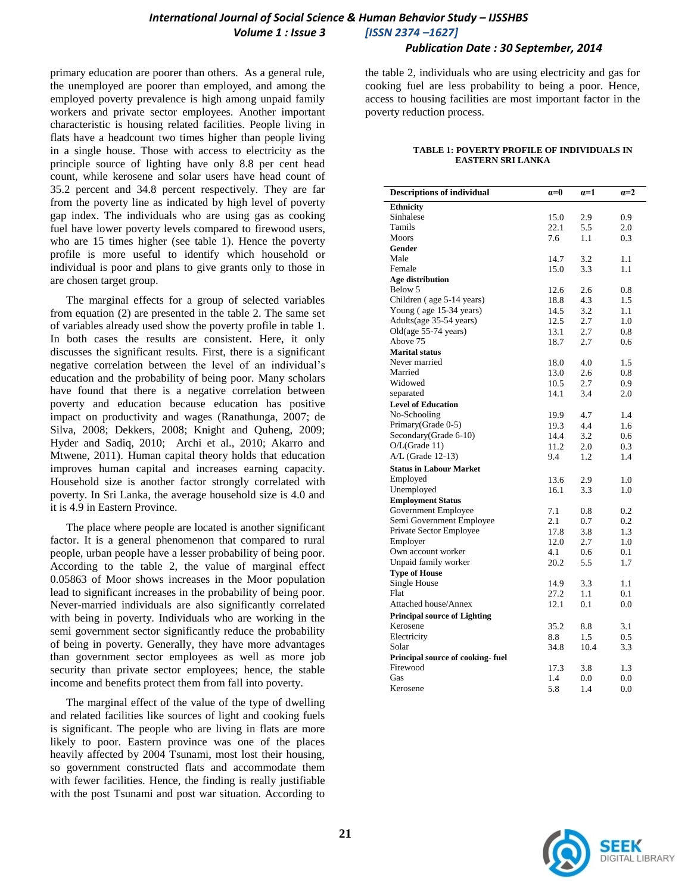### **International Journal of Social Science & Human Behavior Study - IJSSHBS**  *Volume 1 : Issue 3 [ISSN 2374 –1627]*

 *Publication Date : 30 September, 2014*

primary education are poorer than others. As a general rule, the unemployed are poorer than employed, and among the employed poverty prevalence is high among unpaid family workers and private sector employees. Another important characteristic is housing related facilities. People living in flats have a headcount two times higher than people living in a single house. Those with access to electricity as the principle source of lighting have only 8.8 per cent head count, while kerosene and solar users have head count of 35.2 percent and 34.8 percent respectively. They are far from the poverty line as indicated by high level of poverty gap index. The individuals who are using gas as cooking fuel have lower poverty levels compared to firewood users, who are 15 times higher (see table 1). Hence the poverty profile is more useful to identify which household or individual is poor and plans to give grants only to those in are chosen target group.

The marginal effects for a group of selected variables from equation (2) are presented in the table 2. The same set of variables already used show the poverty profile in table 1. In both cases the results are consistent. Here, it only discusses the significant results. First, there is a significant negative correlation between the level of an individual"s education and the probability of being poor. Many scholars have found that there is a negative correlation between poverty and education because education has positive impact on productivity and wages (Ranathunga, 2007; de Silva, 2008; Dekkers, 2008; Knight and Quheng, 2009; Hyder and Sadiq, 2010; Archi et al., 2010; Akarro and Mtwene, 2011). Human capital theory holds that education improves human capital and increases earning capacity. Household size is another factor strongly correlated with poverty. In Sri Lanka, the average household size is 4.0 and it is 4.9 in Eastern Province.

The place where people are located is another significant factor. It is a general phenomenon that compared to rural people, urban people have a lesser probability of being poor. According to the table 2, the value of marginal effect 0.05863 of Moor shows increases in the Moor population lead to significant increases in the probability of being poor. Never-married individuals are also significantly correlated with being in poverty. Individuals who are working in the semi government sector significantly reduce the probability of being in poverty. Generally, they have more advantages than government sector employees as well as more job security than private sector employees; hence, the stable income and benefits protect them from fall into poverty.

The marginal effect of the value of the type of dwelling and related facilities like sources of light and cooking fuels is significant. The people who are living in flats are more likely to poor. Eastern province was one of the places heavily affected by 2004 Tsunami, most lost their housing, so government constructed flats and accommodate them with fewer facilities. Hence, the finding is really justifiable with the post Tsunami and post war situation. According to

the table 2, individuals who are using electricity and gas for cooking fuel are less probability to being a poor. Hence, access to housing facilities are most important factor in the poverty reduction process.

#### **TABLE 1: POVERTY PROFILE OF INDIVIDUALS IN EASTERN SRI LANKA**

| <b>Descriptions of individual</b>   | $a=0$ | $a=1$ | $a=2$ |
|-------------------------------------|-------|-------|-------|
| <b>Ethnicity</b>                    |       |       |       |
| Sinhalese                           | 15.0  | 2.9   | 0.9   |
| Tamils                              | 22.1  | 5.5   | 2.0   |
| Moors                               | 7.6   | 1.1   | 0.3   |
| Gender                              |       |       |       |
| Male                                | 14.7  | 3.2   | 1.1   |
| Female                              | 15.0  | 3.3   | 1.1   |
| Age distribution                    |       |       |       |
| Below 5                             | 12.6  | 2.6   | 0.8   |
| Children (age 5-14 years)           | 18.8  | 4.3   | 1.5   |
| Young (age 15-34 years)             | 14.5  | 3.2   | 1.1   |
| Adults(age 35-54 years)             | 12.5  | 2.7   | 1.0   |
| Old(age 55-74 years)                | 13.1  | 2.7   | 0.8   |
| Above 75                            | 18.7  | 2.7   | 0.6   |
| <b>Marital status</b>               |       |       |       |
| Never married                       | 18.0  | 4.0   | 1.5   |
| Married                             | 13.0  | 2.6   | 0.8   |
| Widowed                             | 10.5  | 2.7   | 0.9   |
| separated                           | 14.1  | 3.4   | 2.0   |
| <b>Level of Education</b>           |       |       |       |
| No-Schooling                        | 19.9  | 4.7   | 1.4   |
| Primary(Grade 0-5)                  | 19.3  | 4.4   | 1.6   |
| Secondary(Grade 6-10)               | 14.4  | 3.2   | 0.6   |
| O/L(Grade 11)                       | 11.2  | 2.0   | 0.3   |
| A/L (Grade 12-13)                   | 9.4   | 1.2   | 1.4   |
| <b>Status in Labour Market</b>      |       |       |       |
| Employed                            | 13.6  | 2.9   | 1.0   |
| Unemployed                          | 16.1  | 3.3   | 1.0   |
| <b>Employment Status</b>            |       |       |       |
| Government Employee                 | 7.1   | 0.8   | 0.2   |
| Semi Government Employee            | 2.1   | 0.7   | 0.2   |
| Private Sector Employee             | 17.8  | 3.8   | 1.3   |
| Employer                            | 12.0  | 2.7   | 1.0   |
| Own account worker                  | 4.1   | 0.6   | 0.1   |
| Unpaid family worker                | 20.2  | 5.5   | 1.7   |
| <b>Type of House</b>                |       |       |       |
| Single House                        | 14.9  | 3.3   | 1.1   |
| Flat                                | 27.2  | 1.1   | 0.1   |
| Attached house/Annex                | 12.1  | 0.1   | 0.0   |
| <b>Principal source of Lighting</b> |       |       |       |
| Kerosene                            | 35.2  | 8.8   | 3.1   |
| Electricity                         | 8.8   | 1.5   | 0.5   |
| Solar                               | 34.8  | 10.4  | 3.3   |
| Principal source of cooking-fuel    |       |       |       |
| Firewood                            | 17.3  | 3.8   | 1.3   |
| Gas                                 | 1.4   | 0.0   | 0.0   |
| Kerosene                            | 5.8   | 1.4   | 0.0   |
|                                     |       |       |       |